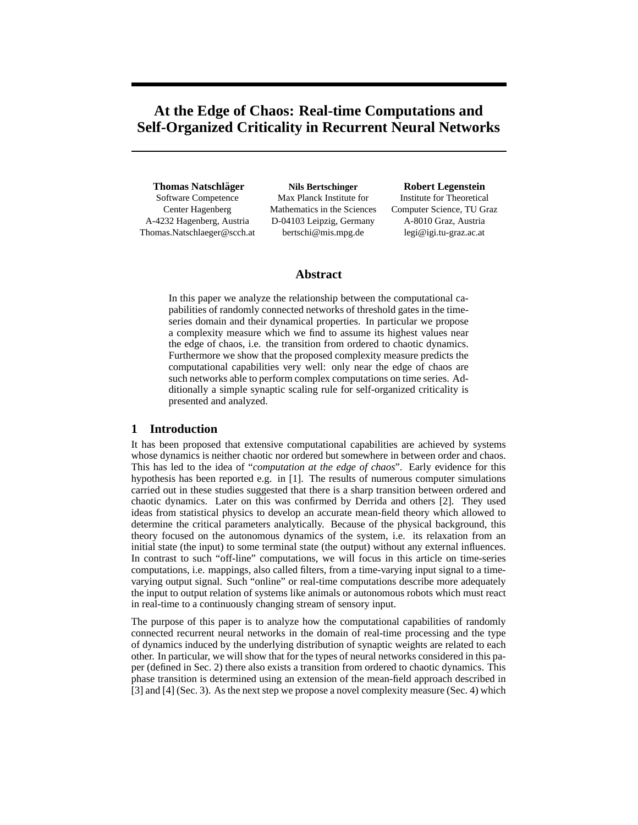# **At the Edge of Chaos: Real-time Computations and Self-Organized Criticality in Recurrent Neural Networks**

**Thomas Natschlager ¨** Software Competence Center Hagenberg A-4232 Hagenberg, Austria Thomas.Natschlaeger@scch.at

**Nils Bertschinger** Max Planck Institute for Mathematics in the Sciences D-04103 Leipzig, Germany bertschi@mis.mpg.de

**Robert Legenstein**

Institute for Theoretical Computer Science, TU Graz A-8010 Graz, Austria legi@igi.tu-graz.ac.at

# **Abstract**

In this paper we analyze the relationship between the computational capabilities of randomly connected networks of threshold gates in the timeseries domain and their dynamical properties. In particular we propose a complexity measure which we find to assume its highest values near the edge of chaos, i.e. the transition from ordered to chaotic dynamics. Furthermore we show that the proposed complexity measure predicts the computational capabilities very well: only near the edge of chaos are such networks able to perform complex computations on time series. Additionally a simple synaptic scaling rule for self-organized criticality is presented and analyzed.

# **1 Introduction**

It has been proposed that extensive computational capabilities are achieved by systems whose dynamics is neither chaotic nor ordered but somewhere in between order and chaos. This has led to the idea of "*computation at the edge of chaos*". Early evidence for this hypothesis has been reported e.g. in [1]. The results of numerous computer simulations carried out in these studies suggested that there is a sharp transition between ordered and chaotic dynamics. Later on this was confirmed by Derrida and others [2]. They used ideas from statistical physics to develop an accurate mean-field theory which allowed to determine the critical parameters analytically. Because of the physical background, this theory focused on the autonomous dynamics of the system, i.e. its relaxation from an initial state (the input) to some terminal state (the output) without any external influences. In contrast to such "off-line" computations, we will focus in this article on time-series computations, i.e. mappings, also called filters, from a time-varying input signal to a timevarying output signal. Such "online" or real-time computations describe more adequately the input to output relation of systems like animals or autonomous robots which must react in real-time to a continuously changing stream of sensory input.

The purpose of this paper is to analyze how the computational capabilities of randomly connected recurrent neural networks in the domain of real-time processing and the type of dynamics induced by the underlying distribution of synaptic weights are related to each other. In particular, we will show that for the types of neural networks considered in this paper (defined in Sec. 2) there also exists a transition from ordered to chaotic dynamics. This phase transition is determined using an extension of the mean-field approach described in [3] and [4] (Sec. 3). As the next step we propose a novel complexity measure (Sec. 4) which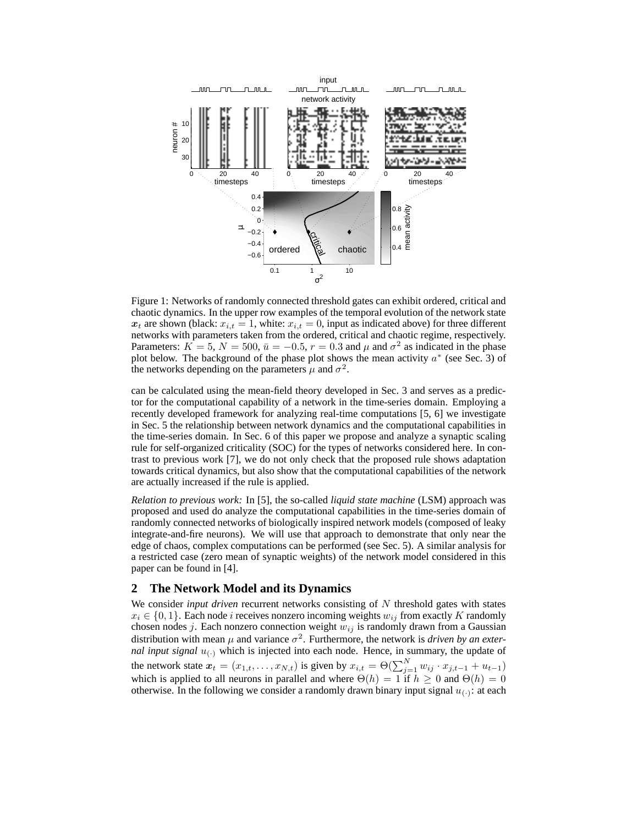

Figure 1: Networks of randomly connected threshold gates can exhibit ordered, critical and chaotic dynamics. In the upper row examples of the temporal evolution of the network state  $x_t$  are shown (black:  $x_{i,t} = 1$ , white:  $x_{i,t} = 0$ , input as indicated above) for three different networks with parameters taken from the ordered, critical and chaotic regime, respectively. Parameters:  $K = 5, N = 500, \bar{u} = -0.5, r = 0.3$  and  $\mu$  and  $\sigma^2$  as indicated in the phase plot below. The background of the phase plot shows the mean activity  $a^*$  (see Sec. 3) of the networks depending on the parameters  $\mu$  and  $\sigma^2$ .

can be calculated using the mean-field theory developed in Sec. 3 and serves as a predictor for the computational capability of a network in the time-series domain. Employing a recently developed framework for analyzing real-time computations [5, 6] we investigate in Sec. 5 the relationship between network dynamics and the computational capabilities in the time-series domain. In Sec. 6 of this paper we propose and analyze a synaptic scaling rule for self-organized criticality (SOC) for the types of networks considered here. In contrast to previous work [7], we do not only check that the proposed rule shows adaptation towards critical dynamics, but also show that the computational capabilities of the network are actually increased if the rule is applied.

*Relation to previous work:* In [5], the so-called *liquid state machine* (LSM) approach was proposed and used do analyze the computational capabilities in the time-series domain of randomly connected networks of biologically inspired network models (composed of leaky integrate-and-fire neurons). We will use that approach to demonstrate that only near the edge of chaos, complex computations can be performed (see Sec. 5). A similar analysis for a restricted case (zero mean of synaptic weights) of the network model considered in this paper can be found in [4].

# **2 The Network Model and its Dynamics**

We consider *input driven* recurrent networks consisting of N threshold gates with states  $x_i \in \{0, 1\}$ . Each node *i* receives nonzero incoming weights  $w_{ij}$  from exactly K randomly chosen nodes *j*. Each nonzero connection weight  $w_{ij}$  is randomly drawn from a Gaussian distribution with mean  $\mu$  and variance  $\sigma^2$ . Furthermore, the network is *driven by an external input signal*  $u_{(.)}$  which is injected into each node. Hence, in summary, the update of the network state  $x_t = (x_{1,t}, \dots, x_{N,t})$  is given by  $x_{i,t} = \Theta(\sum_{j=1}^N w_{ij} \cdot x_{j,t-1} + u_{t-1})$ which is applied to all neurons in parallel and where  $\Theta(h) = 1$  if  $h \geq 0$  and  $\Theta(h) = 0$ otherwise. In the following we consider a randomly drawn binary input signal  $u_{(.)}$ : at each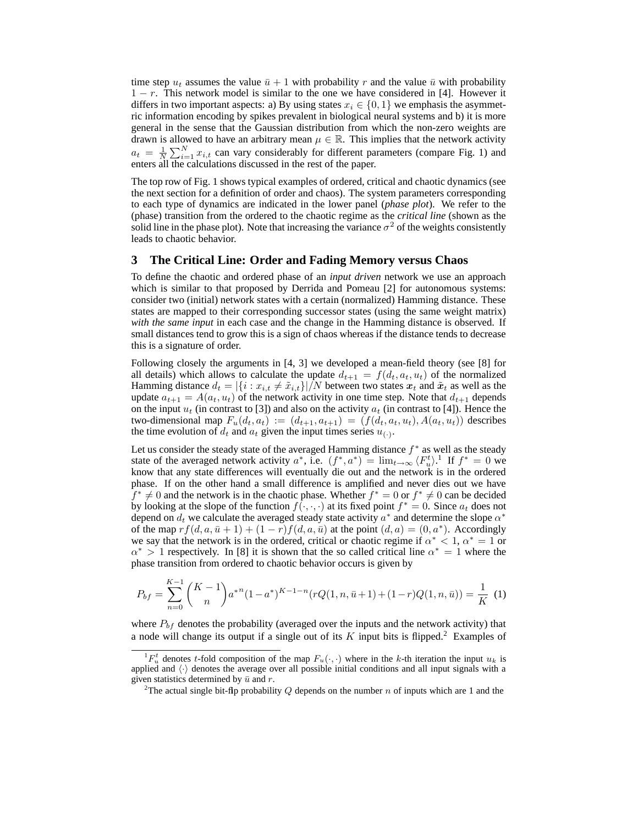time step  $u_t$  assumes the value  $\bar{u}$  + 1 with probability r and the value  $\bar{u}$  with probability  $1 - r$ . This network model is similar to the one we have considered in [4]. However it differs in two important aspects: a) By using states  $x_i \in \{0, 1\}$  we emphasis the asymmetric information encoding by spikes prevalent in biological neural systems and b) it is more general in the sense that the Gaussian distribution from which the non-zero weights are drawn is allowed to have an arbitrary mean  $\mu \in \mathbb{R}$ . This implies that the network activity  $a_t = \frac{1}{N} \sum_{i=1}^{N} x_{i,t}$  can vary considerably for different parameters (compare Fig. 1) and enters all the calculations discussed in the rest of the paper.

The top row of Fig. 1 shows typical examples of ordered, critical and chaotic dynamics (see the next section for a definition of order and chaos). The system parameters corresponding to each type of dynamics are indicated in the lower panel (*phase plot*). We refer to the (phase) transition from the ordered to the chaotic regime as the *critical line* (shown as the solid line in the phase plot). Note that increasing the variance  $\sigma^2$  of the weights consistently leads to chaotic behavior.

### **3 The Critical Line: Order and Fading Memory versus Chaos**

To define the chaotic and ordered phase of an *input driven* network we use an approach which is similar to that proposed by Derrida and Pomeau [2] for autonomous systems: consider two (initial) network states with a certain (normalized) Hamming distance. These states are mapped to their corresponding successor states (using the same weight matrix) *with the same input* in each case and the change in the Hamming distance is observed. If small distances tend to grow this is a sign of chaos whereas if the distance tends to decrease this is a signature of order.

Following closely the arguments in [4, 3] we developed a mean-field theory (see [8] for all details) which allows to calculate the update  $d_{t+1} = f(d_t, a_t, u_t)$  of the normalized Hamming distance  $d_t = |\{i : x_{i,t} \neq \tilde{x}_{i,t}\}|/N$  between two states  $x_t$  and  $\tilde{x}_t$  as well as the update  $a_{t+1} = A(a_t, u_t)$  of the network activity in one time step. Note that  $d_{t+1}$  depends on the input  $u_t$  (in contrast to [3]) and also on the activity  $a_t$  (in contrast to [4]). Hence the two-dimensional map  $F_u(d_t, a_t) := (d_{t+1}, a_{t+1}) = (f(d_t, a_t, u_t), A(a_t, u_t))$  describes the time evolution of  $d_t$  and  $a_t$  given the input times series  $u_{(\cdot)}$ .

Let us consider the steady state of the averaged Hamming distance  $f^*$  as well as the steady state of the averaged network activity  $a^*$ , i.e.  $(f^*, a^*) = \lim_{t \to \infty} \langle F_u^t \rangle$ .<sup>1</sup> If  $f^* = 0$  we know that any state differences will eventually die out and the network is in the ordered phase. If on the other hand a small difference is amplified and never dies out we have  $f^* \neq 0$  and the network is in the chaotic phase. Whether  $f^* = 0$  or  $f^* \neq 0$  can be decided by looking at the slope of the function  $f(\cdot, \cdot, \cdot)$  at its fixed point  $f^* = 0$ . Since  $a_t$  does not depend on  $d_t$  we calculate the averaged steady state activity  $a^*$  and determine the slope  $\alpha^*$ of the map  $rf(d, a, \bar{u}+1) + (1-r)f(d, a, \bar{u})$  at the point  $(d, a) = (0, a^*)$ . Accordingly we say that the network is in the ordered, critical or chaotic regime if  $\alpha^* < 1$ ,  $\alpha^* = 1$  or  $\alpha^*$  > 1 respectively. In [8] it is shown that the so called critical line  $\alpha^* = 1$  where the phase transition from ordered to chaotic behavior occurs is given by

$$
P_{bf} = \sum_{n=0}^{K-1} {K-1 \choose n} a^{*n} (1-a^*)^{K-1-n} (rQ(1, n, \bar{u}+1) + (1-r)Q(1, n, \bar{u})) = \frac{1}{K} (1)
$$

where  $P_{bf}$  denotes the probability (averaged over the inputs and the network activity) that a node will change its output if a single out of its  $K$  input bits is flipped.<sup>2</sup> Examples of

 ${}^{1}F_{u}^{t}$  denotes t-fold composition of the map  $F_{u}(\cdot, \cdot)$  where in the k-th iteration the input  $u_{k}$  is applied and  $\langle \cdot \rangle$  denotes the average over all possible initial conditions and all input signals with a given statistics determined by  $\bar{u}$  and r.

<sup>&</sup>lt;sup>2</sup>The actual single bit-flip probability Q depends on the number n of inputs which are 1 and the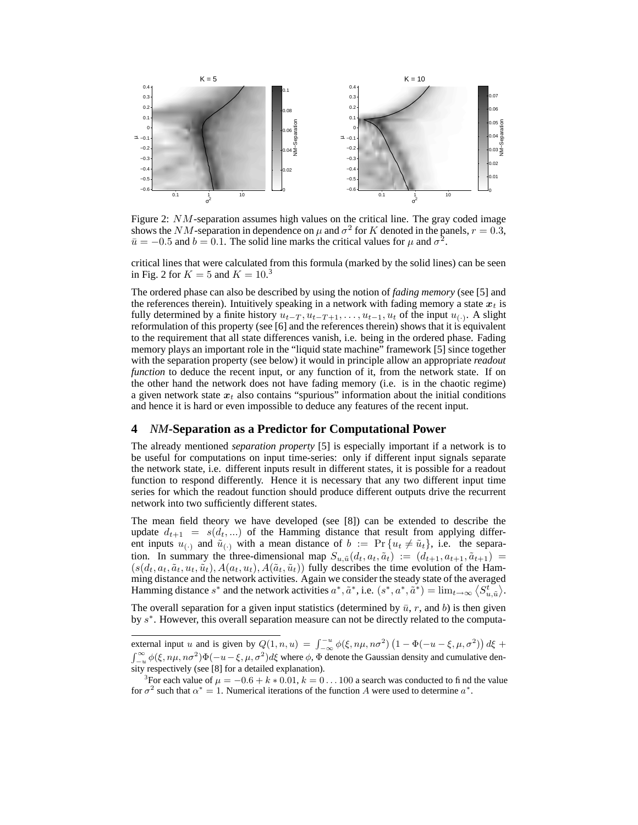

Figure 2: NM-separation assumes high values on the critical line. The gray coded image shows the NM-separation in dependence on  $\mu$  and  $\sigma^2$  for K denoted in the panels,  $r = 0.3$ ,  $\bar{u} = -0.5$  and  $b = 0.1$ . The solid line marks the critical values for  $\mu$  and  $\sigma^2$ .

critical lines that were calculated from this formula (marked by the solid lines) can be seen in Fig. 2 for  $K = 5$  and  $K = 10<sup>3</sup>$ 

The ordered phase can also be described by using the notion of *fading memory* (see [5] and the references therein). Intuitively speaking in a network with fading memory a state  $x_t$  is fully determined by a finite history  $u_{t-T}$ ,  $u_{t-T+1}$ , ...,  $u_{t-1}$ ,  $u_t$  of the input  $u_{(\cdot)}$ . A slight reformulation of this property (see [6] and the references therein) shows that it is equivalent to the requirement that all state differences vanish, i.e. being in the ordered phase. Fading memory plays an important role in the "liquid state machine" framework [5] since together with the separation property (see below) it would in principle allow an appropriate *readout function* to deduce the recent input, or any function of it, from the network state. If on the other hand the network does not have fading memory (i.e. is in the chaotic regime) a given network state  $x_t$  also contains "spurious" information about the initial conditions and hence it is hard or even impossible to deduce any features of the recent input.

#### **4** *NM***-Separation as a Predictor for Computational Power**

The already mentioned *separation property* [5] is especially important if a network is to be useful for computations on input time-series: only if different input signals separate the network state, i.e. different inputs result in different states, it is possible for a readout function to respond differently. Hence it is necessary that any two different input time series for which the readout function should produce different outputs drive the recurrent network into two sufficiently different states.

The mean field theory we have developed (see [8]) can be extended to describe the update  $d_{t+1} = s(d_t, ...)$  of the Hamming distance that result from applying different inputs  $u_{(\cdot)}$  and  $\tilde{u}_{(\cdot)}$  with a mean distance of  $b := \Pr\{u_t \neq \tilde{u}_t\}$ , i.e. the separation. In summary the three-dimensional map  $S_{u,\tilde{u}}(d_t, a_t, \tilde{a}_t) := (d_{t+1}, a_{t+1}, \tilde{a}_{t+1}) =$  $(s(d_t, a_t, \tilde{a}_t, u_t, \tilde{u}_t), A(a_t, u_t), A(\tilde{a}_t, \tilde{u}_t))$  fully describes the time evolution of the Hamming distance and the network activities. Again we consider the steady state of the averaged Hamming distance  $s^*$  and the network activities  $a^*, \tilde{a}^*,$  i.e.  $(s^*, a^*, \tilde{a}^*) = \lim_{t \to \infty} \langle S_{u, \tilde{u}}^t \rangle$ .

The overall separation for a given input statistics (determined by  $\bar{u}$ , r, and b) is then given by  $s^*$ . However, this overall separation measure can not be directly related to the computa-

external input u and is given by  $Q(1, n, u) = \int_{-\infty}^{-u} \phi(\xi, n\mu, n\sigma^2) (1 - \Phi(-u - \xi, \mu, \sigma^2)) d\xi$  +  $\int_{-u}^{\infty} \phi(\xi, n\mu, n\sigma^2) \Phi(-u-\xi, \mu, \sigma^2) d\xi$  where  $\phi$ ,  $\Phi$  denote the Gaussian density and cumulative density respectively (see [8] for a detailed explanation).

<sup>&</sup>lt;sup>3</sup>For each value of  $\mu = -0.6 + k * 0.01$ ,  $k = 0 \dots 100$  a search was conducted to find the value for  $\sigma^2$  such that  $\alpha^* = 1$ . Numerical iterations of the function A were used to determine  $\alpha^*$ .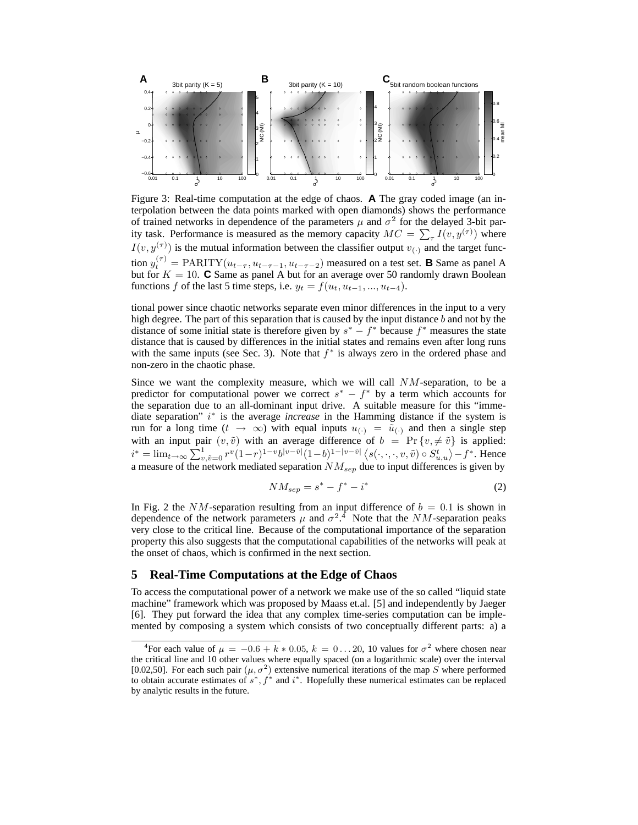

Figure 3: Real-time computation at the edge of chaos. **A** The gray coded image (an interpolation between the data points marked with open diamonds) shows the performance of trained networks in dependence of the parameters  $\mu$  and  $\sigma^2$  for the delayed 3-bit parity task. Performance is measured as the memory capacity  $MC = \sum_{\tau} I(v, y^{(\tau)})$  where  $I(v, y^{(\tau)})$  is the mutual information between the classifier output  $v_{(\cdot)}$  and the target function  $y_t^{(\tau)} = \text{PARITY}(u_{t-\tau}, u_{t-\tau-1}, u_{t-\tau-2})$  measured on a test set. **B** Same as panel A but for  $K = 10$ . **C** Same as panel A but for an average over 50 randomly drawn Boolean functions f of the last 5 time steps, i.e.  $y_t = f(u_t, u_{t-1}, ..., u_{t-4})$ .

tional power since chaotic networks separate even minor differences in the input to a very high degree. The part of this separation that is caused by the input distance  $b$  and not by the distance of some initial state is therefore given by  $s^* - f^*$  because  $f^*$  measures the state distance that is caused by differences in the initial states and remains even after long runs with the same inputs (see Sec. 3). Note that  $f^*$  is always zero in the ordered phase and non-zero in the chaotic phase.

Since we want the complexity measure, which we will call NM-separation, to be a predictor for computational power we correct  $s^* - f^*$  by a term which accounts for the separation due to an all-dominant input drive. A suitable measure for this "immediate separation" i\* is the average *increase* in the Hamming distance if the system is run for a long time  $(t \to \infty)$  with equal inputs  $u_{(.)} = \tilde{u}_{(.)}$  and then a single step with an input pair  $(v, \tilde{v})$  with an average difference of  $b = Pr \{v, \neq \tilde{v}\}\$ is applied:  $i^* = \lim_{t \to \infty} \sum_{v, \tilde{v}=0}^{1} r^v (1-r)^{1-v} b^{|v-\tilde{v}|} (1-b)^{1-|v-\tilde{v}|} \langle s(\cdot, \cdot, \cdot, v, \tilde{v}) \circ S_{u,u}^t \rangle - f^*$ . Hence a measure of the network mediated separation  $NM_{sep}$  due to input differences is given by

$$
NM_{sep} = s^* - f^* - i^*
$$
\n<sup>(2)</sup>

In Fig. 2 the NM-separation resulting from an input difference of  $b = 0.1$  is shown in dependence of the network parameters  $\mu$  and  $\sigma^2$ .<sup>4</sup> Note that the *NM*-separation peaks very close to the critical line. Because of the computational importance of the separation property this also suggests that the computational capabilities of the networks will peak at the onset of chaos, which is confirmed in the next section.

#### **5 Real-Time Computations at the Edge of Chaos**

To access the computational power of a network we make use of the so called "liquid state machine" framework which was proposed by Maass et.al. [5] and independently by Jaeger [6]. They put forward the idea that any complex time-series computation can be implemented by composing a system which consists of two conceptually different parts: a) a

<sup>&</sup>lt;sup>4</sup>For each value of  $\mu = -0.6 + k * 0.05$ ,  $k = 0...20$ , 10 values for  $\sigma^2$  where chosen near the critical line and 10 other values where equally spaced (on a logarithmic scale) over the interval [0.02,50]. For each such pair  $(\mu, \sigma^2)$  extensive numerical iterations of the map S where performed to obtain accurate estimates of  $s^*$ ,  $f^*$  and  $i^*$ . Hopefully these numerical estimates can be replaced by analytic results in the future.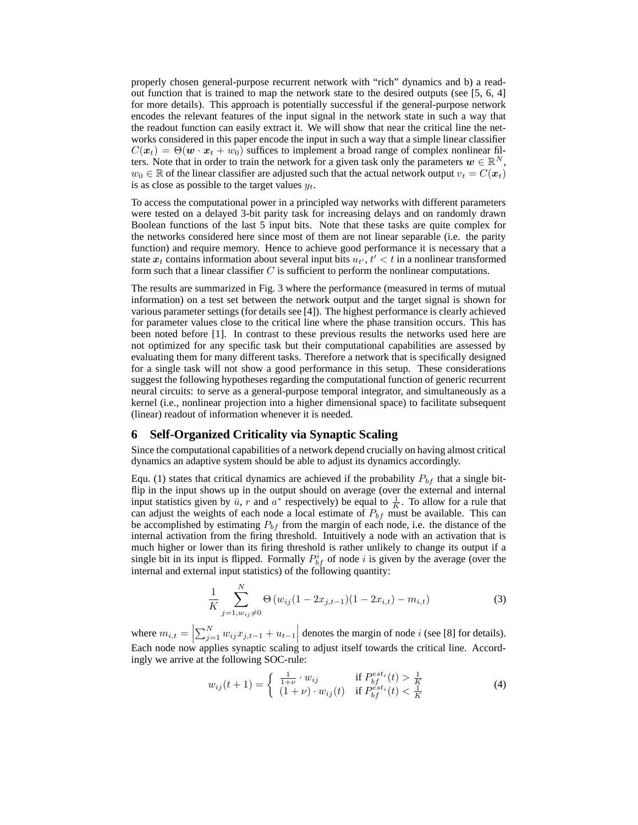properly chosen general-purpose recurrent network with "rich" dynamics and b) a readout function that is trained to map the network state to the desired outputs (see [5, 6, 4] for more details). This approach is potentially successful if the general-purpose network encodes the relevant features of the input signal in the network state in such a way that the readout function can easily extract it. We will show that near the critical line the networks considered in this paper encode the input in such a way that a simple linear classifier  $C(\mathbf{x}_t) = \Theta(\mathbf{w} \cdot \mathbf{x}_t + w_0)$  suffices to implement a broad range of complex nonlinear filters. Note that in order to train the network for a given task only the parameters  $w \in \mathbb{R}^N$ ,  $w_0 \in \mathbb{R}$  of the linear classifier are adjusted such that the actual network output  $v_t = C(\mathbf{x}_t)$ is as close as possible to the target values  $y_t$ .

To access the computational power in a principled way networks with different parameters were tested on a delayed 3-bit parity task for increasing delays and on randomly drawn Boolean functions of the last 5 input bits. Note that these tasks are quite complex for the networks considered here since most of them are not linear separable (i.e. the parity function) and require memory. Hence to achieve good performance it is necessary that a state  $x_t$  contains information about several input bits  $u_{t}$ ,  $t' < t$  in a nonlinear transformed form such that a linear classifier  $C$  is sufficient to perform the nonlinear computations.

The results are summarized in Fig. 3 where the performance (measured in terms of mutual information) on a test set between the network output and the target signal is shown for various parameter settings (for details see [4]). The highest performance is clearly achieved for parameter values close to the critical line where the phase transition occurs. This has been noted before [1]. In contrast to these previous results the networks used here are not optimized for any specific task but their computational capabilities are assessed by evaluating them for many different tasks. Therefore a network that is specifically designed for a single task will not show a good performance in this setup. These considerations suggest the following hypotheses regarding the computational function of generic recurrent neural circuits: to serve as a general-purpose temporal integrator, and simultaneously as a kernel (i.e., nonlinear projection into a higher dimensional space) to facilitate subsequent (linear) readout of information whenever it is needed.

# **6 Self-Organized Criticality via Synaptic Scaling**

Since the computational capabilities of a network depend crucially on having almost critical dynamics an adaptive system should be able to adjust its dynamics accordingly.

Equ. (1) states that critical dynamics are achieved if the probability  $P_{bf}$  that a single bitflip in the input shows up in the output should on average (over the external and internal input statistics given by  $\bar{u}$ , r and  $a^*$  respectively) be equal to  $\frac{1}{K}$ . To allow for a rule that can adjust the weights of each node a local estimate of  $P_{bf}$  must be available. This can be accomplished by estimating  $P_{bf}$  from the margin of each node, i.e. the distance of the internal activation from the firing threshold. Intuitively a node with an activation that is much higher or lower than its firing threshold is rather unlikely to change its output if a single bit in its input is flipped. Formally  $P_{bf}^{i}$  of node i is given by the average (over the internal and external input statistics) of the following quantity:

$$
\frac{1}{K} \sum_{j=1, w_{ij} \neq 0}^{N} \Theta \left( w_{ij} (1 - 2x_{j,t-1}) (1 - 2x_{i,t}) - m_{i,t} \right)
$$
\n(3)

where  $m_{i,t} = \left| \sum_{j=1}^{N} w_{ij} x_{j,t-1} + u_{t-1} \right|$  denotes the margin of node *i* (see [8] for details). Each node now applies synaptic scaling to adjust itself towards the critical line. Accordingly we arrive at the following SOC-rule:

$$
w_{ij}(t+1) = \begin{cases} \frac{1}{1+\nu} \cdot w_{ij} & \text{if } P_{bf}^{est_i}(t) > \frac{1}{K} \\ (1+\nu) \cdot w_{ij}(t) & \text{if } P_{bf}^{est_i}(t) < \frac{1}{K} \end{cases}
$$
(4)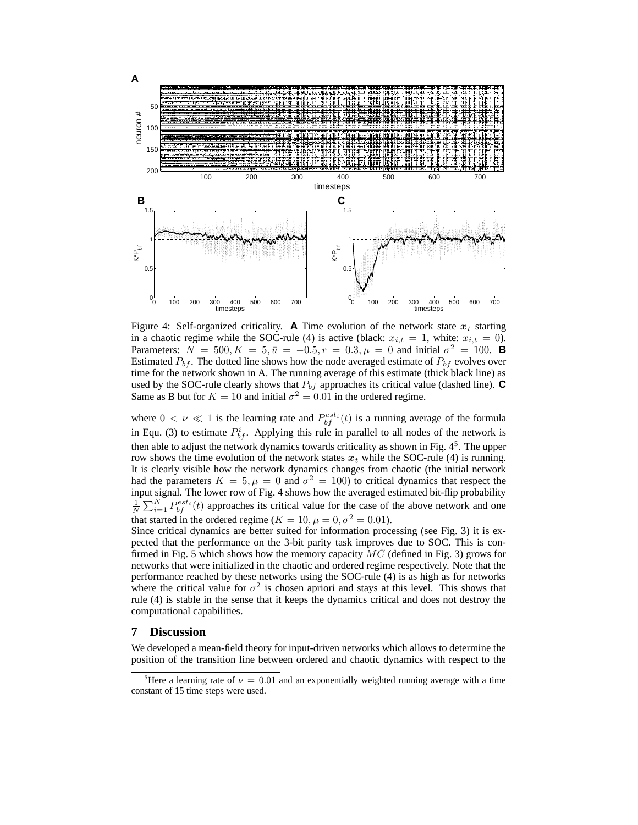

Figure 4: Self-organized criticality. **A** Time evolution of the network state  $x_t$  starting in a chaotic regime while the SOC-rule (4) is active (black:  $x_{i,t} = 1$ , white:  $x_{i,t} = 0$ ). Parameters:  $N = 500, K = 5, \bar{u} = -0.5, r = 0.3, \mu = 0$  and initial  $\sigma^2 = 100$ . **B** Estimated  $P_{bf}$ . The dotted line shows how the node averaged estimate of  $P_{bf}$  evolves over time for the network shown in A. The running average of this estimate (thick black line) as used by the SOC-rule clearly shows that  $P_{bf}$  approaches its critical value (dashed line).  $\mathbf C$ Same as B but for  $K = 10$  and initial  $\sigma^2 = 0.01$  in the ordered regime.

where  $0 < \nu \ll 1$  is the learning rate and  $P_{bf}^{est_i}(t)$  is a running average of the formula in Equ. (3) to estimate  $P_{bf}^{i}$ . Applying this rule in parallel to all nodes of the network is then able to adjust the network dynamics towards criticality as shown in Fig.  $4<sup>5</sup>$ . The upper row shows the time evolution of the network states  $x_t$  while the SOC-rule (4) is running. It is clearly visible how the network dynamics changes from chaotic (the initial network had the parameters  $K = 5, \mu = 0$  and  $\sigma^2 = 100$ ) to critical dynamics that respect the input signal. The lower row of Fig. 4 shows how the averaged estimated bit-flip probability  $\frac{1}{N} \sum_{i=1}^{N} P_{bf}^{est_i}(t)$  approaches its critical value for the case of the above network and one that started in the ordered regime ( $K = 10, \mu = 0, \sigma^2 = 0.01$ ).

Since critical dynamics are better suited for information processing (see Fig. 3) it is expected that the performance on the 3-bit parity task improves due to SOC. This is confirmed in Fig. 5 which shows how the memory capacity  $MC$  (defined in Fig. 3) grows for networks that were initialized in the chaotic and ordered regime respectively. Note that the performance reached by these networks using the SOC-rule (4) is as high as for networks where the critical value for  $\sigma^2$  is chosen apriori and stays at this level. This shows that rule (4) is stable in the sense that it keeps the dynamics critical and does not destroy the computational capabilities.

#### **7 Discussion**

We developed a mean-field theory for input-driven networks which allows to determine the position of the transition line between ordered and chaotic dynamics with respect to the

<sup>&</sup>lt;sup>5</sup>Here a learning rate of  $\nu = 0.01$  and an exponentially weighted running average with a time constant of 15 time steps were used.